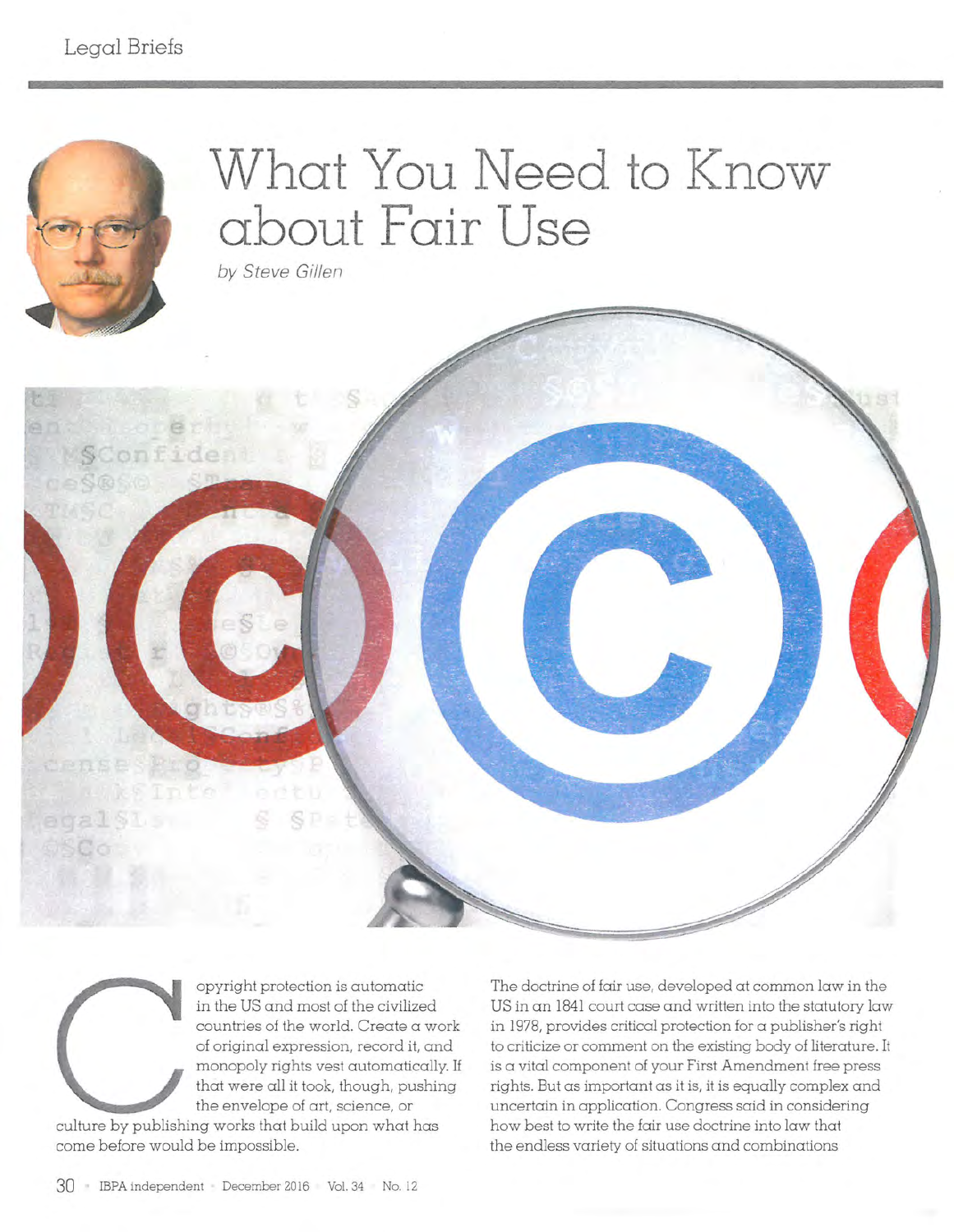

opyright protection is automatic in the US and most of the civilized countries of the world. Create a work of original expression, record it, and monopoly rights vest automatically. If that were all it took, though, pushing the envelope of art, science, or

culture by publishing works that build upon what has come before would be impossible.

The doctrine of fair use, developed at common law in the US in an 1841 court case and written into the statutory law in 1978, provides critical protection for a publisher's right to criticize or comment on the existing body of literature. It is a vital component of your First Amendment free press rights. But as important as it is, it is equally complex and uncertain in application. Congress said in considering how best to write the fair use doctrine into law that the endless variety of situations and combinations